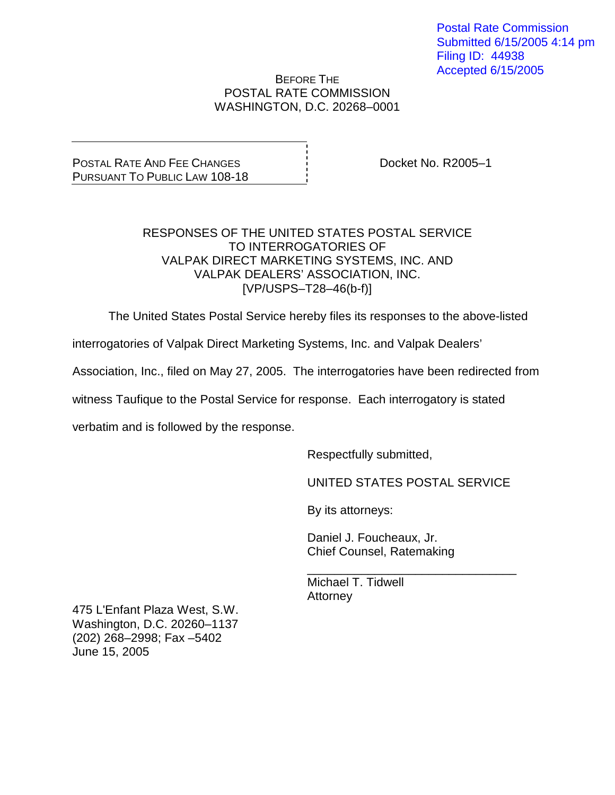Postal Rate Commission Submitted 6/15/2005 4:14 pm Filing ID: 44938 Accepted 6/15/2005

### BEFORE THE POSTAL RATE COMMISSION WASHINGTON, D.C. 20268–0001

POSTAL RATE AND FEE CHANGES PURSUANT TO PUBLIC LAW 108-18 Docket No. R2005–1

## RESPONSES OF THE UNITED STATES POSTAL SERVICE TO INTERROGATORIES OF VALPAK DIRECT MARKETING SYSTEMS, INC. AND VALPAK DEALERS' ASSOCIATION, INC. [VP/USPS–T28–46(b-f)]

The United States Postal Service hereby files its responses to the above-listed

interrogatories of Valpak Direct Marketing Systems, Inc. and Valpak Dealers'

Association, Inc., filed on May 27, 2005. The interrogatories have been redirected from

witness Taufique to the Postal Service for response. Each interrogatory is stated

verbatim and is followed by the response.

Respectfully submitted,

UNITED STATES POSTAL SERVICE

By its attorneys:

Daniel J. Foucheaux, Jr. Chief Counsel, Ratemaking

\_\_\_\_\_\_\_\_\_\_\_\_\_\_\_\_\_\_\_\_\_\_\_\_\_\_\_\_\_\_\_ Michael T. Tidwell **Attorney** 

475 L'Enfant Plaza West, S.W. Washington, D.C. 20260–1137 (202) 268–2998; Fax –5402 June 15, 2005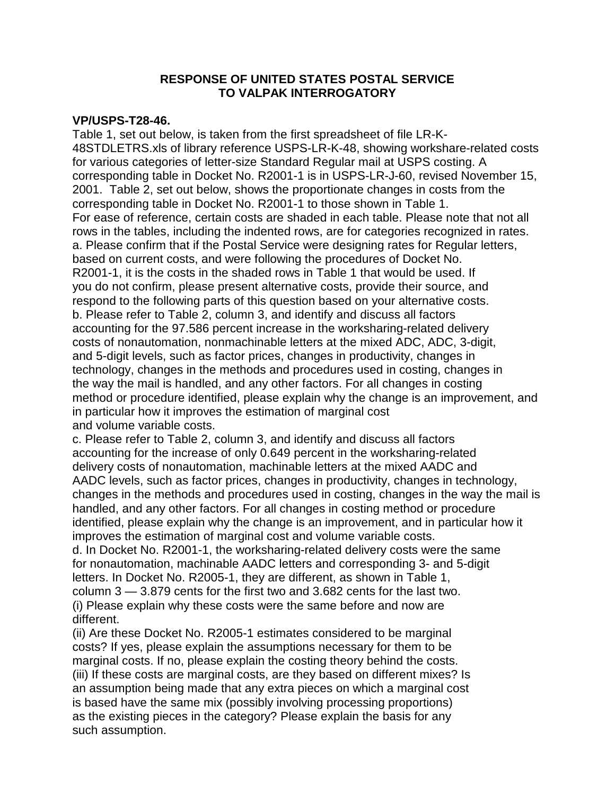### **VP/USPS-T28-46.**

Table 1, set out below, is taken from the first spreadsheet of file LR-K-48STDLETRS.xls of library reference USPS-LR-K-48, showing workshare-related costs for various categories of letter-size Standard Regular mail at USPS costing. A corresponding table in Docket No. R2001-1 is in USPS-LR-J-60, revised November 15, 2001. Table 2, set out below, shows the proportionate changes in costs from the corresponding table in Docket No. R2001-1 to those shown in Table 1. For ease of reference, certain costs are shaded in each table. Please note that not all rows in the tables, including the indented rows, are for categories recognized in rates. a. Please confirm that if the Postal Service were designing rates for Regular letters, based on current costs, and were following the procedures of Docket No. R2001-1, it is the costs in the shaded rows in Table 1 that would be used. If you do not confirm, please present alternative costs, provide their source, and respond to the following parts of this question based on your alternative costs. b. Please refer to Table 2, column 3, and identify and discuss all factors accounting for the 97.586 percent increase in the worksharing-related delivery costs of nonautomation, nonmachinable letters at the mixed ADC, ADC, 3-digit, and 5-digit levels, such as factor prices, changes in productivity, changes in technology, changes in the methods and procedures used in costing, changes in the way the mail is handled, and any other factors. For all changes in costing method or procedure identified, please explain why the change is an improvement, and in particular how it improves the estimation of marginal cost and volume variable costs.

c. Please refer to Table 2, column 3, and identify and discuss all factors accounting for the increase of only 0.649 percent in the worksharing-related delivery costs of nonautomation, machinable letters at the mixed AADC and AADC levels, such as factor prices, changes in productivity, changes in technology, changes in the methods and procedures used in costing, changes in the way the mail is handled, and any other factors. For all changes in costing method or procedure identified, please explain why the change is an improvement, and in particular how it improves the estimation of marginal cost and volume variable costs. d. In Docket No. R2001-1, the worksharing-related delivery costs were the same for nonautomation, machinable AADC letters and corresponding 3- and 5-digit letters. In Docket No. R2005-1, they are different, as shown in Table 1, column 3 — 3.879 cents for the first two and 3.682 cents for the last two. (i) Please explain why these costs were the same before and now are different.

(ii) Are these Docket No. R2005-1 estimates considered to be marginal costs? If yes, please explain the assumptions necessary for them to be marginal costs. If no, please explain the costing theory behind the costs. (iii) If these costs are marginal costs, are they based on different mixes? Is an assumption being made that any extra pieces on which a marginal cost is based have the same mix (possibly involving processing proportions) as the existing pieces in the category? Please explain the basis for any such assumption.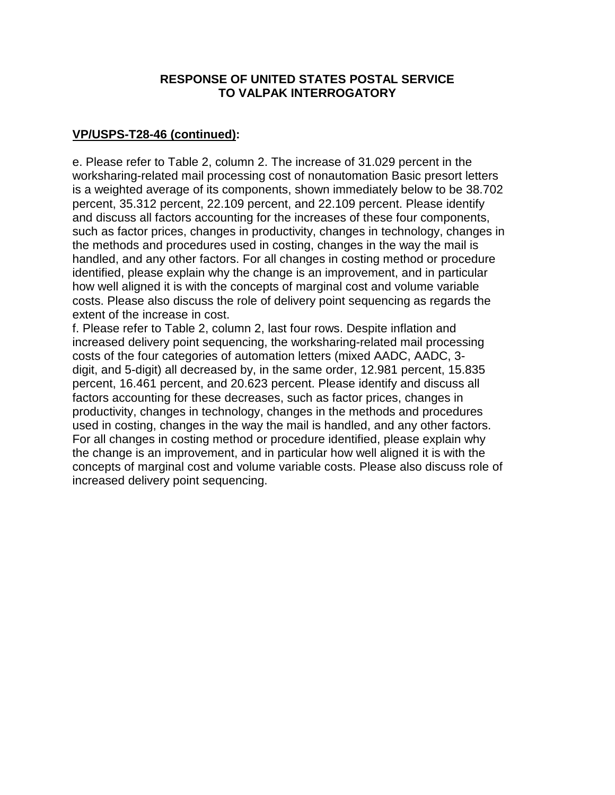# **VP/USPS-T28-46 (continued):**

e. Please refer to Table 2, column 2. The increase of 31.029 percent in the worksharing-related mail processing cost of nonautomation Basic presort letters is a weighted average of its components, shown immediately below to be 38.702 percent, 35.312 percent, 22.109 percent, and 22.109 percent. Please identify and discuss all factors accounting for the increases of these four components, such as factor prices, changes in productivity, changes in technology, changes in the methods and procedures used in costing, changes in the way the mail is handled, and any other factors. For all changes in costing method or procedure identified, please explain why the change is an improvement, and in particular how well aligned it is with the concepts of marginal cost and volume variable costs. Please also discuss the role of delivery point sequencing as regards the extent of the increase in cost.

f. Please refer to Table 2, column 2, last four rows. Despite inflation and increased delivery point sequencing, the worksharing-related mail processing costs of the four categories of automation letters (mixed AADC, AADC, 3 digit, and 5-digit) all decreased by, in the same order, 12.981 percent, 15.835 percent, 16.461 percent, and 20.623 percent. Please identify and discuss all factors accounting for these decreases, such as factor prices, changes in productivity, changes in technology, changes in the methods and procedures used in costing, changes in the way the mail is handled, and any other factors. For all changes in costing method or procedure identified, please explain why the change is an improvement, and in particular how well aligned it is with the concepts of marginal cost and volume variable costs. Please also discuss role of increased delivery point sequencing.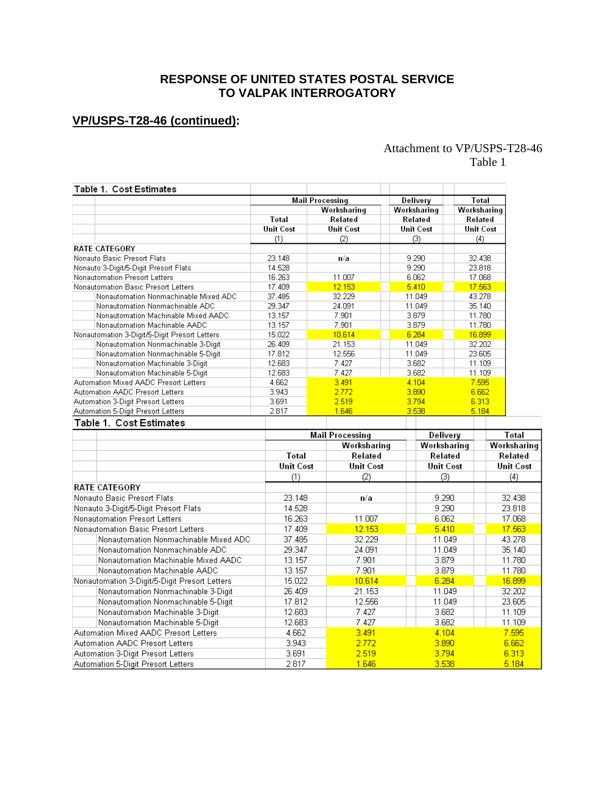# **VP/USPS-T28-46 (continued):**

### Attachment to VP/USPS-T28-46 Table 1

| Table 1. Cost Estimates                       |                  |                        |          |                  |                  |                  |  |
|-----------------------------------------------|------------------|------------------------|----------|------------------|------------------|------------------|--|
|                                               |                  | Mail Processing        |          | Delivery         | Total            |                  |  |
|                                               |                  | Worksharing            |          | Worksharing      | Worksharing      |                  |  |
|                                               | Total            | Related                |          | Related          | Related          |                  |  |
|                                               | <b>Unit Cost</b> | <b>Unit Cost</b>       |          | <b>Unit Cost</b> | <b>Unit Cost</b> |                  |  |
|                                               | (1)              | (2)                    |          | (3)              | (4)              |                  |  |
| <b>RATE CATEGORY</b>                          |                  |                        |          |                  |                  |                  |  |
| Nonauto Basic Presort Flats                   | 23.148           | n/a                    |          | 9.290            | 32.438           |                  |  |
| Nonauto 3-Digit/5-Digit Presort Flats         | 14.528           |                        |          | 9.290            | 23.818           |                  |  |
| Nonautomation Presort Letters                 | 16.263           | 11.007                 |          | 6.062            | 17.068           |                  |  |
| Nonautomation Basic Presort Letters           | 17.409           | 12.153                 |          | 5.410            | 17.563           |                  |  |
| Nonautomation Nonmachinable Mixed ADC         | 37.485           | 32.229                 |          | 11.049           | 43.278           |                  |  |
| Nonautomation Nonmachinable ADC               | 29.347           | 24.091                 |          | 11.049           | 35.140           |                  |  |
| Nonautomation Machinable Mixed AADC           | 13.157           | 7.901                  |          | 3.879            | 11.780           |                  |  |
| Nonautomation Machinable AADC                 | 13.157           | 7.901                  |          | 3.879            | 11.780           |                  |  |
| Nonautomation 3-Digit/5-Digit Presort Letters | 15.022           | 10.614                 |          | 6.284            | 16,899           |                  |  |
| Nonautomation Nonmachinable 3-Digit           | 26.409           | 21.153                 |          | 11.049           | 32.202           |                  |  |
| Nonautomation Nonmachinable 5-Digit           | 17.812           | 12.556                 |          | 11.049           | 23.605           |                  |  |
| Nonautomation Machinable 3-Digit              | 12.683           | 7.427                  |          | 3.682            | 11.109           |                  |  |
| Nonautomation Machinable 5-Digit              | 12.683           | 7.427                  |          | 3.682            | 11.109           |                  |  |
| Automation Mixed AADC Presort Letters         | 4.662            | 3.491                  |          | 4.104            | 7.595            |                  |  |
| Automation AADC Presort Letters               | 3.943            | 2.772                  |          | 3.890            |                  | 6.662            |  |
| Automation 3-Digit Presort Letters            | 3.691            | 2.519                  |          | 3.794<br>6.313   |                  |                  |  |
| Automation 5-Digit Presort Letters            | 2.817            | 1.646                  |          | 3.538            | 5.184            |                  |  |
| Table 1. Cost Estimates                       |                  |                        |          |                  |                  |                  |  |
|                                               |                  | <b>Mail Processing</b> | Delivery |                  |                  | Total            |  |
|                                               |                  | Worksharing            |          | Worksharing      |                  | Worksharing      |  |
|                                               | Total            | Related                |          | Related          |                  | Related          |  |
|                                               | <b>Unit Cost</b> | <b>Unit Cost</b>       |          | <b>Unit Cost</b> |                  | <b>Unit Cost</b> |  |
|                                               | (1)              | (2)                    |          | (3)              |                  | (4)              |  |
| <b>RATE CATEGORY</b>                          |                  |                        |          |                  |                  |                  |  |
| Nonauto Basic Presort Flats                   | 23.148           | n/a                    |          | 9.290            |                  | 32.438           |  |
| Nonauto 3-Digit/5-Digit Presort Flats         | 14.528           |                        |          | 9.290            |                  | 23.818           |  |
| <b>Nonautomation Presort Letters</b>          | 16.263           | 11.007                 |          | 6.062            |                  | 17.068           |  |
| Nonautomation Basic Presort Letters           | 17.409           | 12.153                 |          | 5.410            |                  | 17.563           |  |
| Nonautomation Nonmachinable Mixed ADC         | 37.485           | 32.229                 |          | 11.049           |                  | 43.278           |  |
| Nonautomation Nonmachinable ADC               | 29.347           | 24.091                 |          | 11.049           |                  | 35.140           |  |
| Nonautomation Machinable Mixed AADC           |                  | 7.901<br>13.157        |          | 3.879            |                  | 11.780           |  |
| Nonautomation Machinable AADC                 | 13.157           | 7.901                  |          | 3.879            |                  | 11.780           |  |
| Nonautomation 3-Digit/5-Digit Presort Letters | 15.022           | 10.614                 |          | 6.284            |                  | 16.899           |  |
| Nonautomation Nonmachinable 3-Digit           | 26.409           | 21.153                 |          | 11.049           |                  | 32.202           |  |
| Nonautomation Nonmachinable 5-Digit           | 17.812           | 12.556                 |          | 11.049           |                  | 23.605           |  |
| Nonautomation Machinable 3-Digit              | 12.683           | 7.427                  |          | 3.682            |                  | 11.109           |  |
|                                               |                  |                        |          |                  |                  |                  |  |
| Nonautomation Machinable 5-Digit              | 12.683           | 7.427                  |          | 3.682            |                  | 11.109           |  |
| Automation Mixed AADC Presort Letters         | 4.662            | 3.491                  |          | 4.104            |                  | 7.595            |  |
| Automation AADC Presort Letters               | 3.943            | 2.772                  |          | 3.890            |                  | 6.662            |  |
| Automation 3-Digit Presort Letters            | 3.691            | 2.519                  |          | 3.794            |                  | 6.313            |  |
| Automation 5-Digit Presort Letters            | 2.817            | 1.646                  |          | 3.538            |                  | 5.184            |  |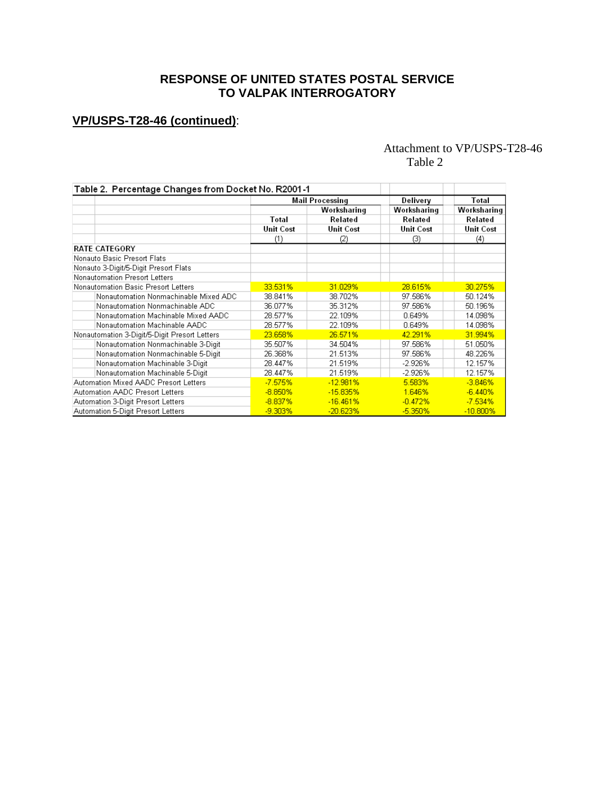# **VP/USPS-T28-46 (continued)**:

# Attachment to VP/USPS-T28-46 Table 2

| Table 2. Percentage Changes from Docket No. R2001-1 |                        |             |                  |                        |  |
|-----------------------------------------------------|------------------------|-------------|------------------|------------------------|--|
|                                                     | <b>Mail Processing</b> |             | Delivery         | Total                  |  |
|                                                     | Total                  | Worksharing | Worksharing      | Worksharing<br>Related |  |
|                                                     |                        | Related     | Related          |                        |  |
|                                                     | <b>Unit Cost</b>       | Unit Cost   | <b>Unit Cost</b> | <b>Unit Cost</b>       |  |
|                                                     | (1)                    | (2)         | (3)              | (4)                    |  |
| <b>RATE CATEGORY</b>                                |                        |             |                  |                        |  |
| Nonauto Basic Presort Flats                         |                        |             |                  |                        |  |
| Nonauto 3-Digit/5-Digit Presort Flats               |                        |             |                  |                        |  |
| Nonautomation Presort Letters                       |                        |             |                  |                        |  |
| Nonautomation Basic Presort Letters                 | 33.531%                | 31.029%     | 28.615%          | 30.275%                |  |
| Nonautomation Nonmachinable Mixed ADC               | 38.841%                | 38.702%     | 97.586%          | 50.124%                |  |
| Nonautomation Nonmachinable ADC                     | 36.077%                | 35.312%     | 97.586%          | 50.196%                |  |
| Nonautomation Machinable Mixed AADC                 | 28.577%                | 22.109%     | 0.649%           | 14.098%                |  |
| Nonautomation Machinable AADC                       | 28.577%                | 22.109%     | 0.649%           | 14.098%                |  |
| Nonautomation 3-Digit/5-Digit Presort Letters       | 23.658%                | 26.571%     | 42.291%          | 31.994%                |  |
| Nonautomation Nonmachinable 3-Digit                 | 35.507%                | 34.504%     | 97.586%          | 51.050%                |  |
| Nonautomation Nonmachinable 5-Digit                 | 26.368%                | 21.513%     | 97.586%          | 48.226%                |  |
| Nonautomation Machinable 3-Digit                    | 28.447%                | 21.519%     | -2.926%          | 12.157%                |  |
| Nonautomation Machinable 5-Digit                    | 28.447%                | 21.519%     | $-2.926%$        | 12.157%                |  |
| Automation Mixed AADC Presort Letters               | $-7.575%$              | $-12.981%$  | 5.583%           | $-3.846%$              |  |
| Automation AADC Presort Letters                     | $-8.850%$              | $-15.835%$  | 1.646%           | $-6.440%$              |  |
| Automation 3-Digit Presort Letters                  | $-8.837%$              | $-16.461%$  | $-0.472%$        | $-7.534%$              |  |
| Automation 5-Digit Presort Letters                  | $-9.303%$              | $-20.623%$  | $-5.350%$        | $-10.800\%$            |  |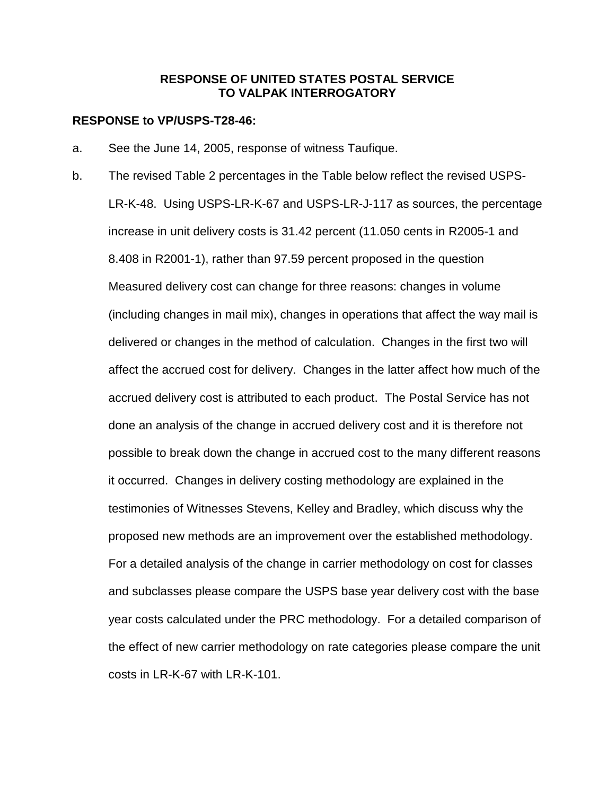#### **RESPONSE to VP/USPS-T28-46:**

- a. See the June 14, 2005, response of witness Taufique.
- b. The revised Table 2 percentages in the Table below reflect the revised USPS-LR-K-48. Using USPS-LR-K-67 and USPS-LR-J-117 as sources, the percentage increase in unit delivery costs is 31.42 percent (11.050 cents in R2005-1 and 8.408 in R2001-1), rather than 97.59 percent proposed in the question Measured delivery cost can change for three reasons: changes in volume (including changes in mail mix), changes in operations that affect the way mail is delivered or changes in the method of calculation. Changes in the first two will affect the accrued cost for delivery. Changes in the latter affect how much of the accrued delivery cost is attributed to each product. The Postal Service has not done an analysis of the change in accrued delivery cost and it is therefore not possible to break down the change in accrued cost to the many different reasons it occurred. Changes in delivery costing methodology are explained in the testimonies of Witnesses Stevens, Kelley and Bradley, which discuss why the proposed new methods are an improvement over the established methodology. For a detailed analysis of the change in carrier methodology on cost for classes and subclasses please compare the USPS base year delivery cost with the base year costs calculated under the PRC methodology. For a detailed comparison of the effect of new carrier methodology on rate categories please compare the unit costs in LR-K-67 with LR-K-101.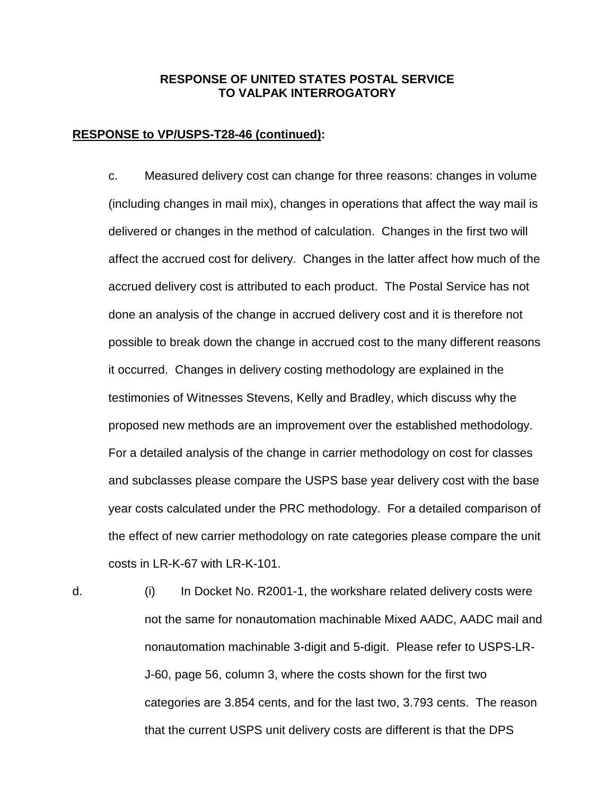#### **RESPONSE to VP/USPS-T28-46 (continued):**

c. Measured delivery cost can change for three reasons: changes in volume (including changes in mail mix), changes in operations that affect the way mail is delivered or changes in the method of calculation. Changes in the first two will affect the accrued cost for delivery. Changes in the latter affect how much of the accrued delivery cost is attributed to each product. The Postal Service has not done an analysis of the change in accrued delivery cost and it is therefore not possible to break down the change in accrued cost to the many different reasons it occurred. Changes in delivery costing methodology are explained in the testimonies of Witnesses Stevens, Kelly and Bradley, which discuss why the proposed new methods are an improvement over the established methodology. For a detailed analysis of the change in carrier methodology on cost for classes and subclasses please compare the USPS base year delivery cost with the base year costs calculated under the PRC methodology. For a detailed comparison of the effect of new carrier methodology on rate categories please compare the unit costs in LR-K-67 with LR-K-101.

d. (i) In Docket No. R2001-1, the workshare related delivery costs were not the same for nonautomation machinable Mixed AADC, AADC mail and nonautomation machinable 3-digit and 5-digit. Please refer to USPS-LR-J-60, page 56, column 3, where the costs shown for the first two categories are 3.854 cents, and for the last two, 3.793 cents. The reason that the current USPS unit delivery costs are different is that the DPS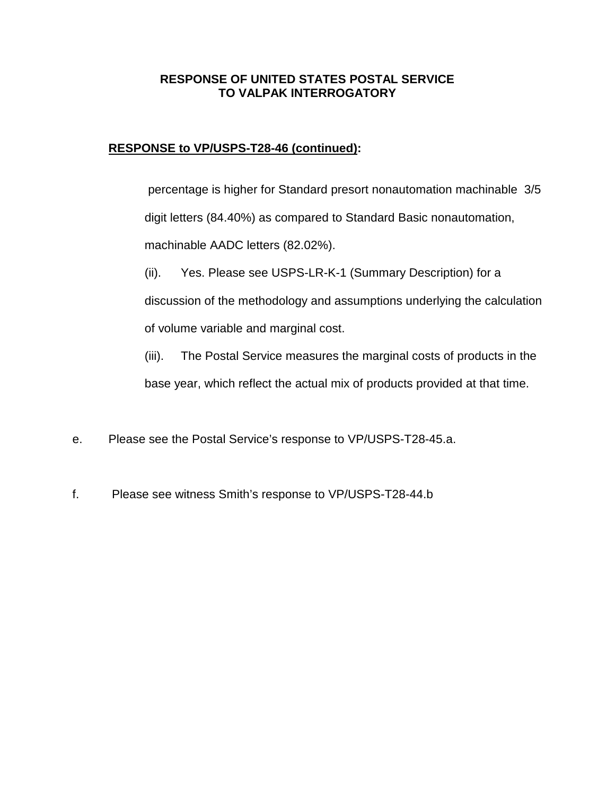# **RESPONSE to VP/USPS-T28-46 (continued):**

percentage is higher for Standard presort nonautomation machinable 3/5 digit letters (84.40%) as compared to Standard Basic nonautomation, machinable AADC letters (82.02%).

(ii). Yes. Please see USPS-LR-K-1 (Summary Description) for a

discussion of the methodology and assumptions underlying the calculation

of volume variable and marginal cost.

(iii). The Postal Service measures the marginal costs of products in the

base year, which reflect the actual mix of products provided at that time.

- e. Please see the Postal Service's response to VP/USPS-T28-45.a.
- f. Please see witness Smith's response to VP/USPS-T28-44.b